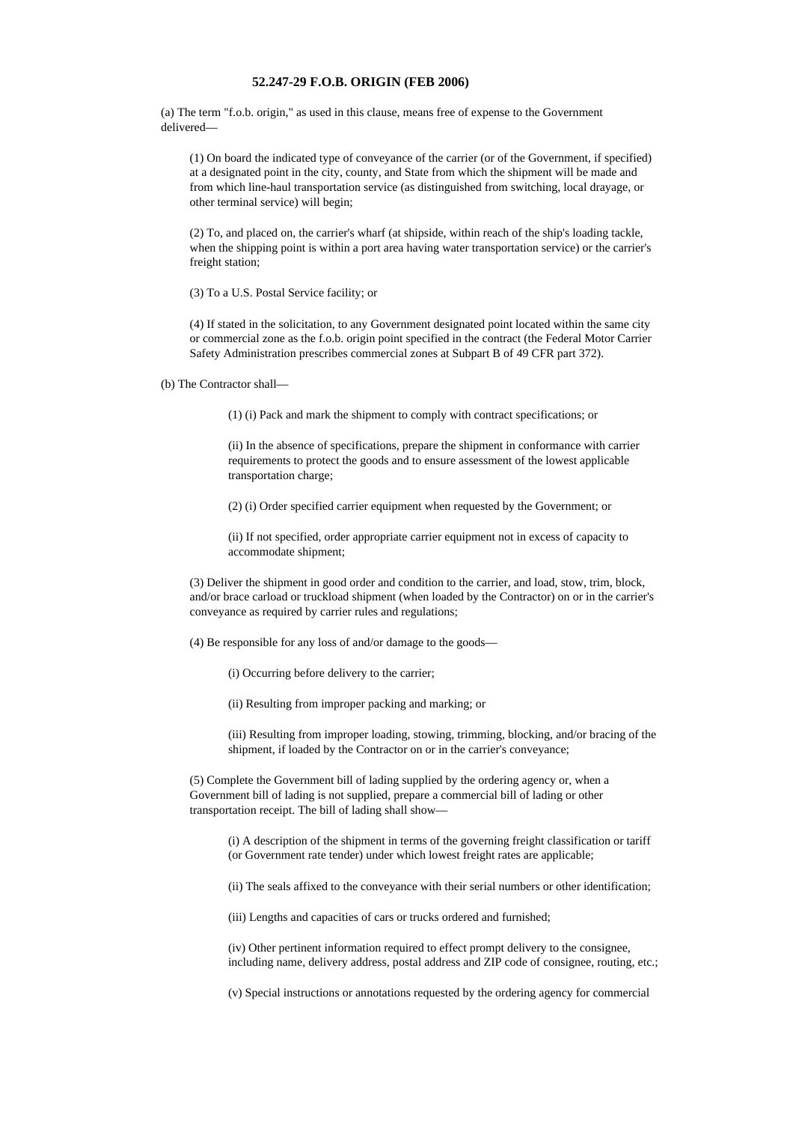## **52.247-29 F.O.B. ORIGIN (FEB 2006)**

(a) The term "f.o.b. origin," as used in this clause, means free of expense to the Government delivered—

(1) On board the indicated type of conveyance of the carrier (or of the Government, if specified) at a designated point in the city, county, and State from which the shipment will be made and from which line-haul transportation service (as distinguished from switching, local drayage, or other terminal service) will begin;

(2) To, and placed on, the carrier's wharf (at shipside, within reach of the ship's loading tackle, when the shipping point is within a port area having water transportation service) or the carrier's freight station;

(3) To a U.S. Postal Service facility; or

(4) If stated in the solicitation, to any Government designated point located within the same city or commercial zone as the f.o.b. origin point specified in the contract (the Federal Motor Carrier Safety Administration prescribes commercial zones at Subpart B of 49 CFR part 372).

(b) The Contractor shall—

(1) (i) Pack and mark the shipment to comply with contract specifications; or

(ii) In the absence of specifications, prepare the shipment in conformance with carrier requirements to protect the goods and to ensure assessment of the lowest applicable transportation charge;

(2) (i) Order specified carrier equipment when requested by the Government; or

(ii) If not specified, order appropriate carrier equipment not in excess of capacity to accommodate shipment;

(3) Deliver the shipment in good order and condition to the carrier, and load, stow, trim, block, and/or brace carload or truckload shipment (when loaded by the Contractor) on or in the carrier's conveyance as required by carrier rules and regulations;

(4) Be responsible for any loss of and/or damage to the goods—

(i) Occurring before delivery to the carrier;

(ii) Resulting from improper packing and marking; or

(iii) Resulting from improper loading, stowing, trimming, blocking, and/or bracing of the shipment, if loaded by the Contractor on or in the carrier's conveyance;

(5) Complete the Government bill of lading supplied by the ordering agency or, when a Government bill of lading is not supplied, prepare a commercial bill of lading or other transportation receipt. The bill of lading shall show—

(i) A description of the shipment in terms of the governing freight classification or tariff (or Government rate tender) under which lowest freight rates are applicable;

(ii) The seals affixed to the conveyance with their serial numbers or other identification;

(iii) Lengths and capacities of cars or trucks ordered and furnished;

(iv) Other pertinent information required to effect prompt delivery to the consignee, including name, delivery address, postal address and ZIP code of consignee, routing, etc.;

(v) Special instructions or annotations requested by the ordering agency for commercial